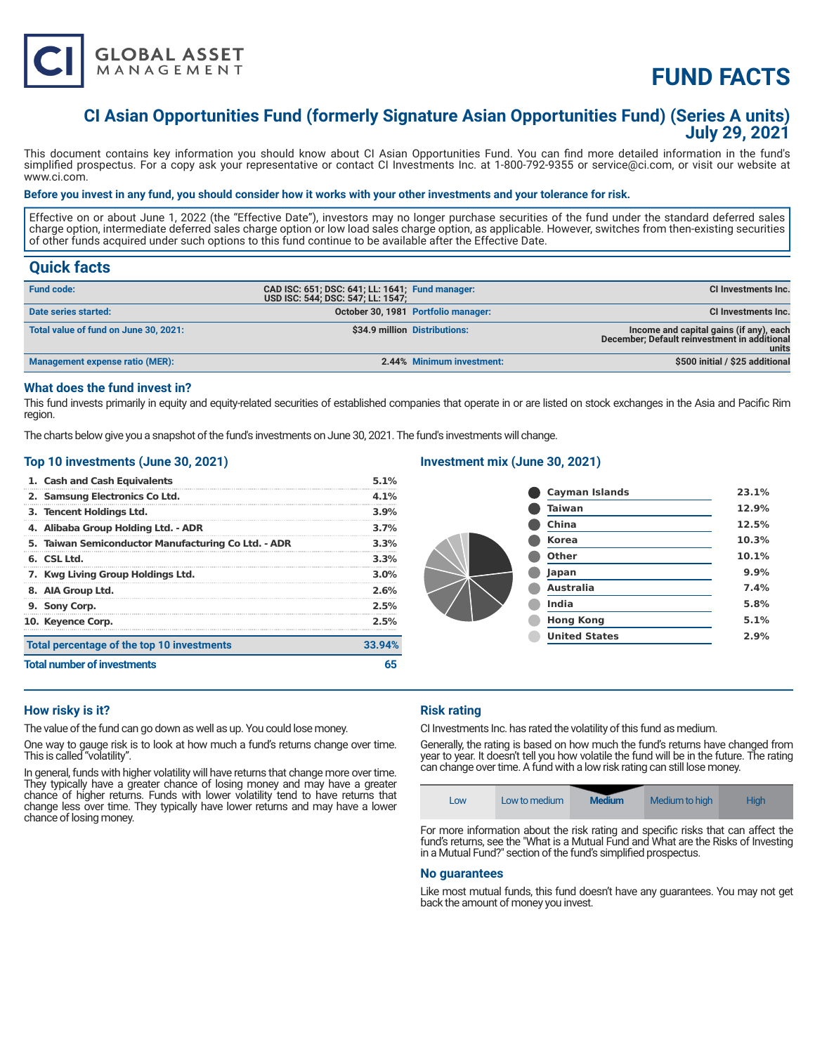

# **FUND FACTS**

# **CI Asian Opportunities Fund (formerly Signature Asian Opportunities Fund) (Series A units) July 29, 2021**

This document contains key information you should know about CI Asian Opportunities Fund. You can find more detailed information in the fund's simplified prospectus. For a copy ask your representative or contact CI Investments Inc. at 1-800-792-9355 or service@ci.com, or visit our website at www.ci.com.

#### **Before you invest in any fund, you should consider how it works with your other investments and your tolerance for risk.**

Effective on or about June 1, 2022 (the "Effective Date"), investors may no longer purchase securities of the fund under the standard deferred sales charge option, intermediate deferred sales charge option or low load sales charge option, as applicable. However, switches from then-existing securities of other funds acquired under such options to this fund continue to be available after the Effective Date.

# **Quick facts**

| <b>Fund code:</b>                     | CAD ISC: 651; DSC: 641; LL: 1641; Fund manager:<br>USD ISC: 544; DSC: 547; LL: 1547; |                                     | <b>CI Investments Inc.</b>                                                                       |
|---------------------------------------|--------------------------------------------------------------------------------------|-------------------------------------|--------------------------------------------------------------------------------------------------|
| Date series started:                  |                                                                                      | October 30, 1981 Portfolio manager: | <b>CI Investments Inc.</b>                                                                       |
| Total value of fund on June 30, 2021: |                                                                                      | \$34.9 million Distributions:       | Income and capital gains (if any), each<br>December; Default reinvestment in additional<br>units |
| Management expense ratio (MER):       |                                                                                      | 2.44% Minimum investment:           | \$500 initial / \$25 additional                                                                  |

# **What does the fund invest in?**

This fund invests primarily in equity and equity-related securities of established companies that operate in or are listed on stock exchanges in the Asia and Pacific Rim region.

The charts below give you a snapshot of the fund's investments on June 30, 2021. The fund's investments will change.

#### **Top 10 investments (June 30, 2021)**

| 1. Cash and Cash Equivalents                        | 5.1%    |
|-----------------------------------------------------|---------|
| 2. Samsung Electronics Co Ltd.                      | 4.1%    |
| 3. Tencent Holdings Ltd.                            | $3.9\%$ |
| 4. Alibaba Group Holding Ltd. - ADR                 | 3.7%    |
| 5. Taiwan Semiconductor Manufacturing Co Ltd. - ADR | 3.3%    |
| 6. CSL Ltd.                                         | 3.3%    |
| 7. Kwg Living Group Holdings Ltd.                   | 3.0%    |
| 8. AIA Group Ltd.                                   | 2.6%    |
| 9. Sony Corp.                                       | 2.5%    |
| 10. Keyence Corp.                                   | 2.5%    |
| Total percentage of the top 10 investments          | 33.94%  |
| <b>Total number of investments</b>                  |         |

# **Investment mix (June 30, 2021)**

| <b>Cayman Islands</b> | 23.1% |
|-----------------------|-------|
| <b>Taiwan</b>         | 12.9% |
| China                 | 12.5% |
| <b>Korea</b>          | 10.3% |
| Other                 | 10.1% |
| Japan                 | 9.9%  |
| <b>Australia</b>      | 7.4%  |
| <b>India</b>          | 5.8%  |
| <b>Hong Kong</b>      | 5.1%  |
| <b>United States</b>  | 2.9%  |
|                       |       |

# **How risky is it?**

The value of the fund can go down as well as up. You could lose money.

One way to gauge risk is to look at how much a fund's returns change over time. This is called "volatility".

In general, funds with higher volatility will have returns that change more over time. They typically have a greater chance of losing money and may have a greater chance of higher returns. Funds with lower volatility tend to have returns that change less over time. They typically have lower returns and may have a lower chance of losing money.

### **Risk rating**

CI Investments Inc. has rated the volatility of this fund as medium.

Generally, the rating is based on how much the fund's returns have changed from year to year. It doesn't tell you how volatile the fund will be in the future. The rating can change over time. A fund with a low risk rating can still lose money.



For more information about the risk rating and specific risks that can affect the fund's returns, see the "What is a Mutual Fund and What are the Risks of Investing in a Mutual Fund?" section of the fund's simplified prospectus.

#### **No guarantees**

Like most mutual funds, this fund doesn't have any guarantees. You may not get back the amount of money you invest.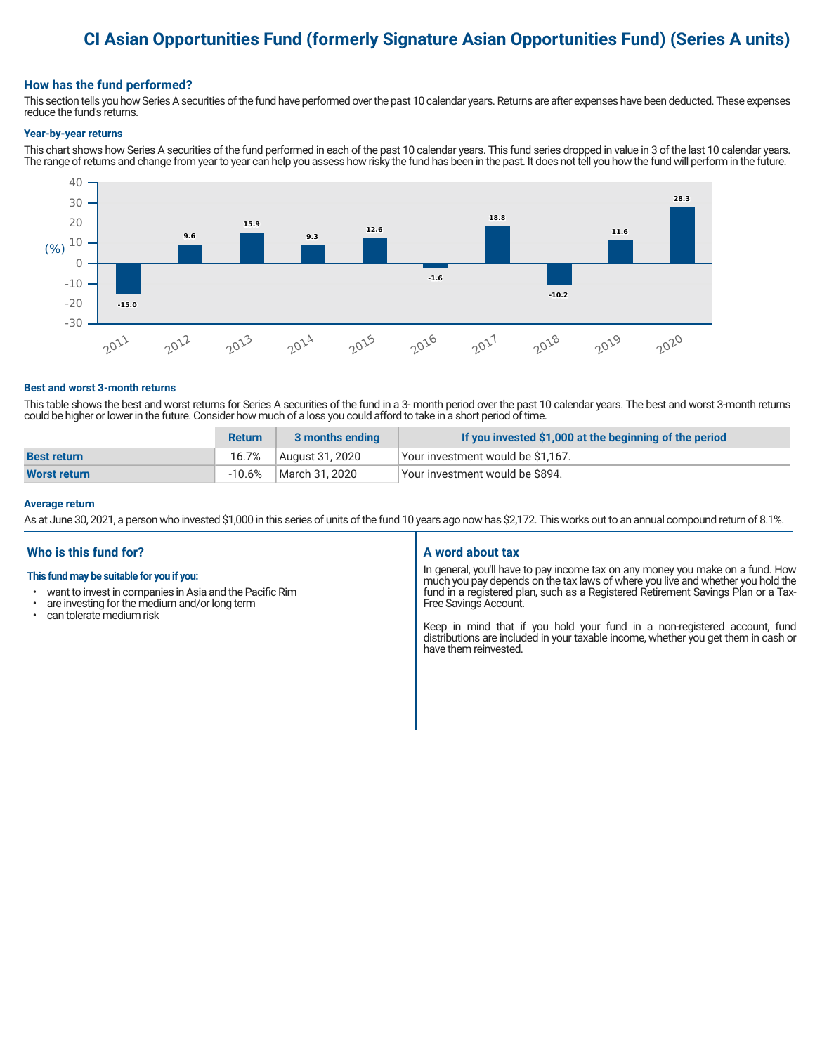# **CI Asian Opportunities Fund (formerly Signature Asian Opportunities Fund) (Series A units)**

### **How has the fund performed?**

This section tells you how Series A securities of the fund have performed over the past 10 calendar years. Returns are after expenses have been deducted. These expenses reduce the fund's returns.

#### **Year-by-year returns**

This chart shows how Series A securities of the fund performed in each of the past 10 calendar years. This fund series dropped in value in 3 of the last 10 calendar years. The range of returns and change from year to year can help you assess how risky the fund has been in the past. It does not tell you how the fund will perform in the future.



#### **Best and worst 3-month returns**

This table shows the best and worst returns for Series A securities of the fund in a 3- month period over the past 10 calendar years. The best and worst 3-month returns could be higher or lower in the future. Consider how much of a loss you could afford to take in a short period of time.

|                    | <b>Return</b> | 3 months ending | If you invested \$1,000 at the beginning of the period |
|--------------------|---------------|-----------------|--------------------------------------------------------|
| <b>Best return</b> | 16.7%         | August 31, 2020 | Vour investment would be \$1,167.                      |
| Worst return       | $-10.6\%$     | March 31, 2020  | Your investment would be \$894.                        |

#### **Average return**

As at June 30, 2021, a person who invested \$1,000 in this series of units of the fund 10 years ago now has \$2,172. This works out to an annual compound return of 8.1%.

# **Who is this fund for?**

#### **This fund may be suitable for you if you:**

- want to invest in companies in Asia and the Pacific Rim
- are investing for the medium and/or long term<br>• can telerate medium risk
- can tolerate medium risk

#### **A word about tax**

In general, you'll have to pay income tax on any money you make on a fund. How much you pay depends on the tax laws of where you live and whether you hold the fund in a registered plan, such as a Registered Retirement Savings Plan or a Tax-Free Savings Account.

Keep in mind that if you hold your fund in a non-registered account, fund distributions are included in your taxable income, whether you get them in cash or have them reinvested.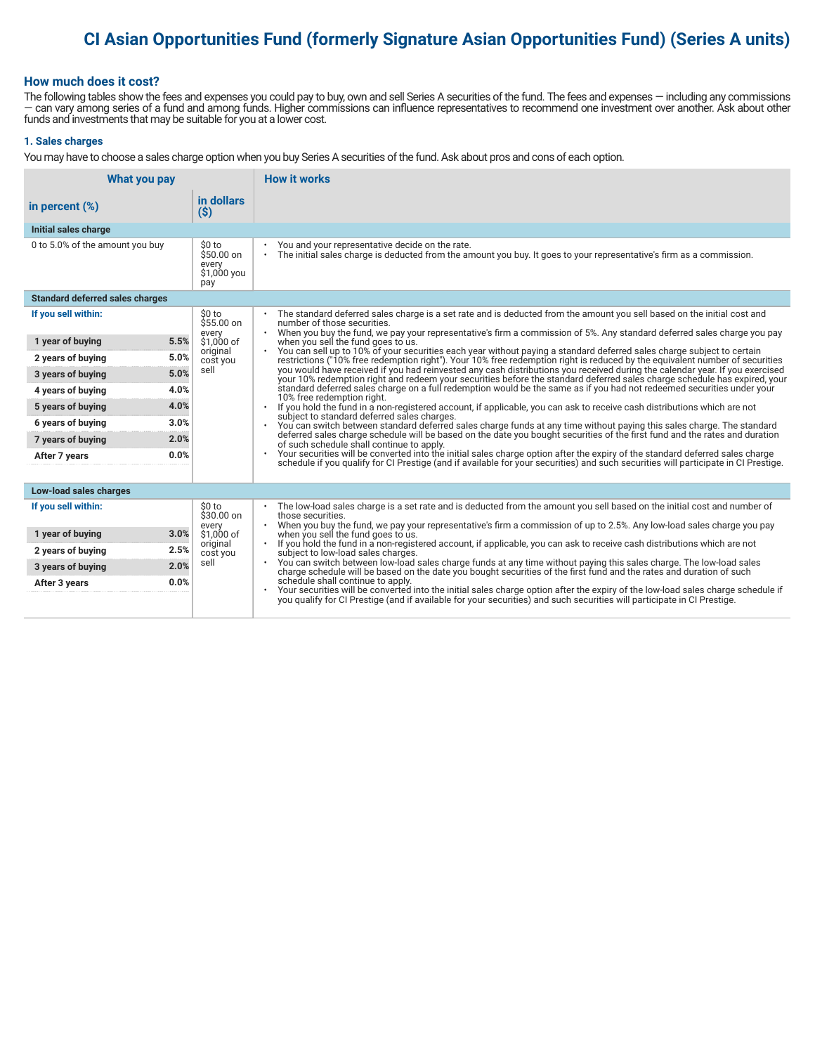# **CI Asian Opportunities Fund (formerly Signature Asian Opportunities Fund) (Series A units)**

### **How much does it cost?**

The following tables show the fees and expenses you could pay to buy, own and sell Series A securities of the fund. The fees and expenses — including any commissions — can vary among series of a fund and among funds. Higher commissions can influence representatives to recommend one investment over another. Ask about other funds and investments that may be suitable for you at a lower cost.

#### **1. Sales charges**

You may have to choose a sales charge option when you buy Series A securities of the fund. Ask about pros and cons of each option.

| What you pay                           |                                                      | <b>How it works</b>                                                                                                                                                                                                                                                               |  |
|----------------------------------------|------------------------------------------------------|-----------------------------------------------------------------------------------------------------------------------------------------------------------------------------------------------------------------------------------------------------------------------------------|--|
| in percent $(\%)$                      | in dollars<br>$(\$)$                                 |                                                                                                                                                                                                                                                                                   |  |
| Initial sales charge                   |                                                      |                                                                                                                                                                                                                                                                                   |  |
| 0 to 5.0% of the amount you buy        | \$0 to<br>$$50.00$ on<br>every<br>\$1,000 you<br>pay | You and your representative decide on the rate.<br>٠<br>The initial sales charge is deducted from the amount you buy. It goes to your representative's firm as a commission.<br>$\bullet$                                                                                         |  |
| <b>Standard deferred sales charges</b> |                                                      |                                                                                                                                                                                                                                                                                   |  |
| If you sell within:                    | \$0 to<br>\$55.00 on                                 | The standard deferred sales charge is a set rate and is deducted from the amount you sell based on the initial cost and<br>number of those securities.                                                                                                                            |  |
| 5.5%<br>1 year of buying               | every<br>\$1,000 of                                  | When you buy the fund, we pay your representative's firm a commission of 5%. Any standard deferred sales charge you pay<br>$\bullet$<br>when you sell the fund goes to us.                                                                                                        |  |
| 5.0%<br>2 years of buying              | original<br>cost you                                 | You can sell up to 10% of your securities each year without paying a standard deferred sales charge subject to certain<br>$\bullet$<br>restrictions ("10% free redemption right"). Your 10% free redemption right is reduced by the equivalent number of securities               |  |
| 5.0%<br>3 years of buying              | sell                                                 | you would have received if you had reinvested any cash distributions you received during the calendar year. If you exercised<br>your 10% redemption right and redeem your securities before the standard deferred sales charge schedule has expired, your                         |  |
| 4.0%<br>4 years of buying              |                                                      | standard deferred sales charge on a full redemption would be the same as if you had not redeemed securities under your<br>10% free redemption right.                                                                                                                              |  |
| 4.0%<br>5 years of buying              |                                                      | If you hold the fund in a non-registered account, if applicable, you can ask to receive cash distributions which are not                                                                                                                                                          |  |
| 3.0%<br>6 years of buying              |                                                      | subject to standard deferred sales charges.<br>You can switch between standard deferred sales charge funds at any time without paying this sales charge. The standard                                                                                                             |  |
| 2.0%<br>7 years of buying              |                                                      | deferred sales charge schedule will be based on the date you bought securities of the first fund and the rates and duration<br>of such schedule shall continue to apply.                                                                                                          |  |
| 0.0%<br>After 7 years                  |                                                      | Your securities will be converted into the initial sales charge option after the expiry of the standard deferred sales charge<br>$\bullet$<br>schedule if you qualify for CI Prestige (and if available for your securities) and such securities will participate in CI Prestige. |  |
|                                        |                                                      |                                                                                                                                                                                                                                                                                   |  |
| Low-load sales charges                 |                                                      |                                                                                                                                                                                                                                                                                   |  |
| If you sell within:                    | \$0 to<br>$$30.00$ on                                | The low-load sales charge is a set rate and is deducted from the amount you sell based on the initial cost and number of<br>those securities.<br>When you buy the fund, we pay your representative's firm a commission of up to 2.5%. Any low-load sales charge you pay           |  |
| 1 year of buying<br>3.0%               | every<br>\$1,000 of                                  | when you sell the fund goes to us.                                                                                                                                                                                                                                                |  |
| 2.5%<br>2 years of buying              | original<br>cost you                                 | If you hold the fund in a non-registered account, if applicable, you can ask to receive cash distributions which are not<br>subject to low-load sales charges.                                                                                                                    |  |
| 2.0%<br>3 years of buying              | sell                                                 | You can switch between low-load sales charge funds at any time without paying this sales charge. The low-load sales<br>charge schedule will be based on the date you bought securities of the first fund and the rates and durati                                                 |  |
| 0.0%<br>After 3 years                  |                                                      | schedule shall continue to apply.                                                                                                                                                                                                                                                 |  |
|                                        |                                                      | Your securities will be converted into the initial sales charge option after the expiry of the low-load sales charge schedule if<br>you qualify for CI Prestige (and if available for your securities) and such securities will p                                                 |  |